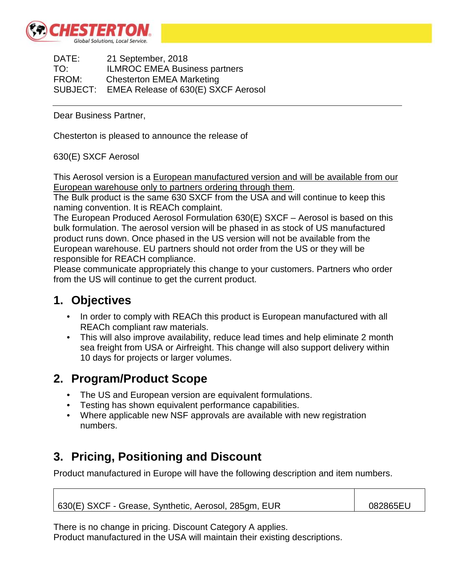

DATE: 21 September, 2018 TO: ILMROC EMEA Business partners FROM: Chesterton EMEA Marketing SUBJECT: EMEA Release of 630(E) SXCF Aerosol

Dear Business Partner,

Chesterton is pleased to announce the release of

630(E) SXCF Aerosol

This Aerosol version is a European manufactured version and will be available from our European warehouse only to partners ordering through them.

The Bulk product is the same 630 SXCF from the USA and will continue to keep this naming convention. It is REACh complaint.

The European Produced Aerosol Formulation 630(E) SXCF – Aerosol is based on this bulk formulation. The aerosol version will be phased in as stock of US manufactured product runs down. Once phased in the US version will not be available from the European warehouse. EU partners should not order from the US or they will be responsible for REACH compliance.

Please communicate appropriately this change to your customers. Partners who order from the US will continue to get the current product.

#### **1. Objectives**

- In order to comply with REACh this product is European manufactured with all REACh compliant raw materials.
- This will also improve availability, reduce lead times and help eliminate 2 month sea freight from USA or Airfreight. This change will also support delivery within 10 days for projects or larger volumes.

### **2. Program/Product Scope**

- The US and European version are equivalent formulations.
- Testing has shown equivalent performance capabilities.
- Where applicable new NSF approvals are available with new registration numbers.

## **3. Pricing, Positioning and Discount**

Product manufactured in Europe will have the following description and item numbers.

630(E) SXCF - Grease, Synthetic, Aerosol, 285gm, EUR 082865EU

There is no change in pricing. Discount Category A applies. Product manufactured in the USA will maintain their existing descriptions.